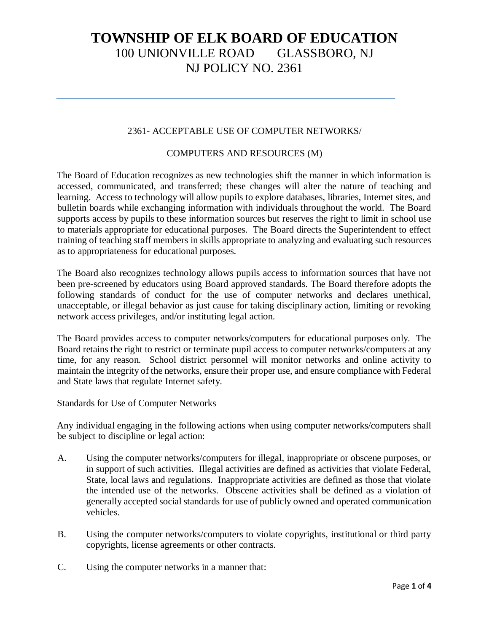### 2361- ACCEPTABLE USE OF COMPUTER NETWORKS/

### COMPUTERS AND RESOURCES (M)

The Board of Education recognizes as new technologies shift the manner in which information is accessed, communicated, and transferred; these changes will alter the nature of teaching and learning. Access to technology will allow pupils to explore databases, libraries, Internet sites, and bulletin boards while exchanging information with individuals throughout the world. The Board supports access by pupils to these information sources but reserves the right to limit in school use to materials appropriate for educational purposes. The Board directs the Superintendent to effect training of teaching staff members in skills appropriate to analyzing and evaluating such resources as to appropriateness for educational purposes.

The Board also recognizes technology allows pupils access to information sources that have not been pre-screened by educators using Board approved standards. The Board therefore adopts the following standards of conduct for the use of computer networks and declares unethical, unacceptable, or illegal behavior as just cause for taking disciplinary action, limiting or revoking network access privileges, and/or instituting legal action.

The Board provides access to computer networks/computers for educational purposes only. The Board retains the right to restrict or terminate pupil access to computer networks/computers at any time, for any reason. School district personnel will monitor networks and online activity to maintain the integrity of the networks, ensure their proper use, and ensure compliance with Federal and State laws that regulate Internet safety.

Standards for Use of Computer Networks

Any individual engaging in the following actions when using computer networks/computers shall be subject to discipline or legal action:

- A. Using the computer networks/computers for illegal, inappropriate or obscene purposes, or in support of such activities. Illegal activities are defined as activities that violate Federal, State, local laws and regulations. Inappropriate activities are defined as those that violate the intended use of the networks. Obscene activities shall be defined as a violation of generally accepted social standards for use of publicly owned and operated communication vehicles.
- B. Using the computer networks/computers to violate copyrights, institutional or third party copyrights, license agreements or other contracts.
- C. Using the computer networks in a manner that: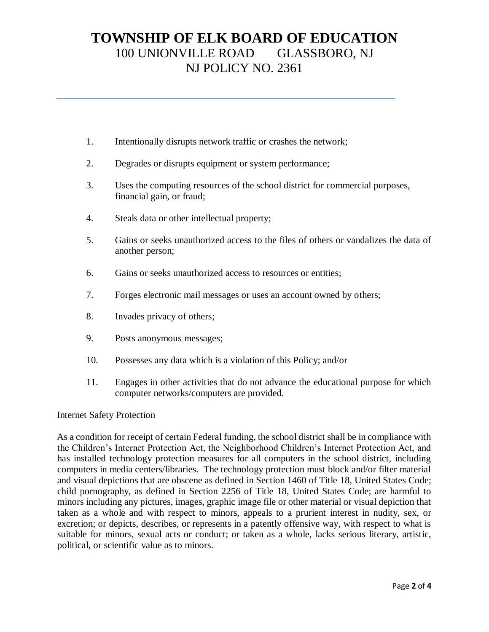- 1. Intentionally disrupts network traffic or crashes the network;
- 2. Degrades or disrupts equipment or system performance;
- 3. Uses the computing resources of the school district for commercial purposes, financial gain, or fraud;
- 4. Steals data or other intellectual property;
- 5. Gains or seeks unauthorized access to the files of others or vandalizes the data of another person;
- 6. Gains or seeks unauthorized access to resources or entities;
- 7. Forges electronic mail messages or uses an account owned by others;
- 8. Invades privacy of others;
- 9. Posts anonymous messages;
- 10. Possesses any data which is a violation of this Policy; and/or
- 11. Engages in other activities that do not advance the educational purpose for which computer networks/computers are provided.

#### Internet Safety Protection

As a condition for receipt of certain Federal funding, the school district shall be in compliance with the Children's Internet Protection Act, the Neighborhood Children's Internet Protection Act, and has installed technology protection measures for all computers in the school district, including computers in media centers/libraries. The technology protection must block and/or filter material and visual depictions that are obscene as defined in Section 1460 of Title 18, United States Code; child pornography, as defined in Section 2256 of Title 18, United States Code; are harmful to minors including any pictures, images, graphic image file or other material or visual depiction that taken as a whole and with respect to minors, appeals to a prurient interest in nudity, sex, or excretion; or depicts, describes, or represents in a patently offensive way, with respect to what is suitable for minors, sexual acts or conduct; or taken as a whole, lacks serious literary, artistic, political, or scientific value as to minors.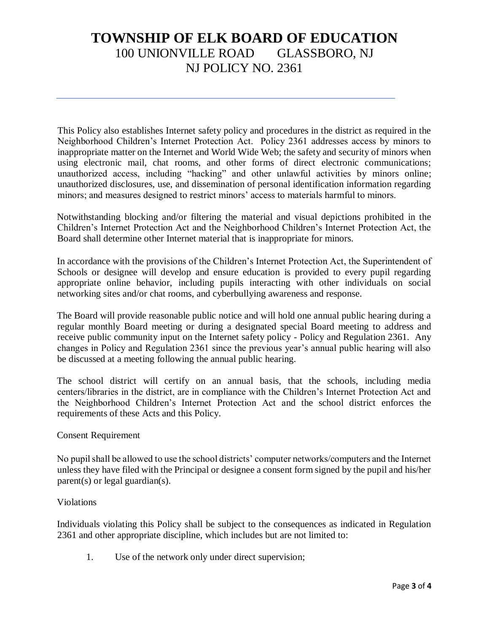This Policy also establishes Internet safety policy and procedures in the district as required in the Neighborhood Children's Internet Protection Act. Policy 2361 addresses access by minors to inappropriate matter on the Internet and World Wide Web; the safety and security of minors when using electronic mail, chat rooms, and other forms of direct electronic communications; unauthorized access, including "hacking" and other unlawful activities by minors online; unauthorized disclosures, use, and dissemination of personal identification information regarding minors; and measures designed to restrict minors' access to materials harmful to minors.

Notwithstanding blocking and/or filtering the material and visual depictions prohibited in the Children's Internet Protection Act and the Neighborhood Children's Internet Protection Act, the Board shall determine other Internet material that is inappropriate for minors.

In accordance with the provisions of the Children's Internet Protection Act, the Superintendent of Schools or designee will develop and ensure education is provided to every pupil regarding appropriate online behavior, including pupils interacting with other individuals on social networking sites and/or chat rooms, and cyberbullying awareness and response.

The Board will provide reasonable public notice and will hold one annual public hearing during a regular monthly Board meeting or during a designated special Board meeting to address and receive public community input on the Internet safety policy - Policy and Regulation 2361. Any changes in Policy and Regulation 2361 since the previous year's annual public hearing will also be discussed at a meeting following the annual public hearing.

The school district will certify on an annual basis, that the schools, including media centers/libraries in the district, are in compliance with the Children's Internet Protection Act and the Neighborhood Children's Internet Protection Act and the school district enforces the requirements of these Acts and this Policy.

### Consent Requirement

No pupil shall be allowed to use the school districts' computer networks/computers and the Internet unless they have filed with the Principal or designee a consent form signed by the pupil and his/her parent(s) or legal guardian(s).

### Violations

Individuals violating this Policy shall be subject to the consequences as indicated in Regulation 2361 and other appropriate discipline, which includes but are not limited to:

1. Use of the network only under direct supervision;